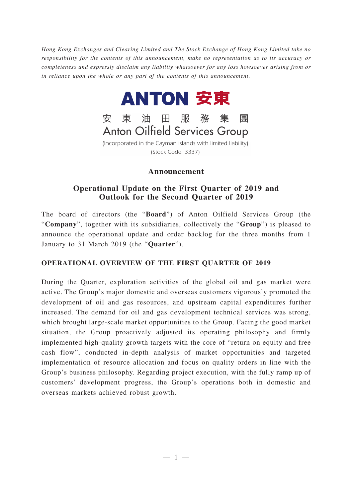*Hong Kong Exchanges and Clearing Limited and The Stock Exchange of Hong Kong Limited take no responsibility for the contents of this announcement, make no representation as to its accuracy or completeness and expressly disclaim any liability whatsoever for any loss howsoever arising from or in reliance upon the whole or any part of the contents of this announcement.*



**Anton Oilfield Services Group** 

(Incorporated in the Cayman Islands with limited liability) (Stock Code: 3337)

# **Announcement**

## **Operational Update on the First Quarter of 2019 and Outlook for the Second Quarter of 2019**

The board of directors (the "**Board**") of Anton Oilfield Services Group (the "**Company**", together with its subsidiaries, collectively the "**Group**") is pleased to announce the operational update and order backlog for the three months from 1 January to 31 March 2019 (the "**Quarter**").

# **OPERATIONAL OVERVIEW OF THE FIRST QUARTER OF 2019**

During the Quarter, exploration activities of the global oil and gas market were active. The Group's major domestic and overseas customers vigorously promoted the development of oil and gas resources, and upstream capital expenditures further increased. The demand for oil and gas development technical services was strong, which brought large-scale market opportunities to the Group. Facing the good market situation, the Group proactively adjusted its operating philosophy and firmly implemented high-quality growth targets with the core of "return on equity and free cash flow", conducted in-depth analysis of market opportunities and targeted implementation of resource allocation and focus on quality orders in line with the Group's business philosophy. Regarding project execution, with the fully ramp up of customers' development progress, the Group's operations both in domestic and overseas markets achieved robust growth.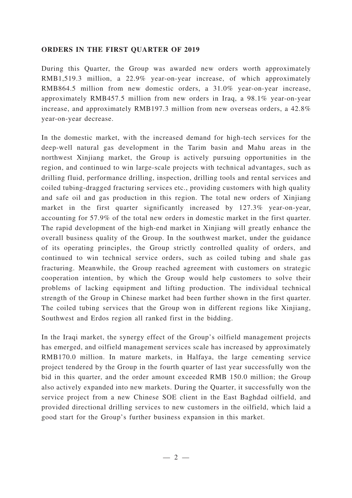#### **ORDERS IN THE FIRST QUARTER OF 2019**

During this Quarter, the Group was awarded new orders worth approximately RMB1,519.3 million, a 22.9% year-on-year increase, of which approximately RMB864.5 million from new domestic orders, a 31.0% year-on-year increase, approximately RMB457.5 million from new orders in Iraq, a 98.1% year-on-year increase, and approximately RMB197.3 million from new overseas orders, a 42.8% year-on-year decrease.

In the domestic market, with the increased demand for high-tech services for the deep-well natural gas development in the Tarim basin and Mahu areas in the northwest Xinjiang market, the Group is actively pursuing opportunities in the region, and continued to win large-scale projects with technical advantages, such as drilling fluid, performance drilling, inspection, drilling tools and rental services and coiled tubing-dragged fracturing services etc., providing customers with high quality and safe oil and gas production in this region. The total new orders of Xinjiang market in the first quarter significantly increased by 127.3% year-on-year, accounting for 57.9% of the total new orders in domestic market in the first quarter. The rapid development of the high-end market in Xinjiang will greatly enhance the overall business quality of the Group. In the southwest market, under the guidance of its operating principles, the Group strictly controlled quality of orders, and continued to win technical service orders, such as coiled tubing and shale gas fracturing. Meanwhile, the Group reached agreement with customers on strategic cooperation intention, by which the Group would help customers to solve their problems of lacking equipment and lifting production. The individual technical strength of the Group in Chinese market had been further shown in the first quarter. The coiled tubing services that the Group won in different regions like Xinjiang, Southwest and Erdos region all ranked first in the bidding.

In the Iraqi market, the synergy effect of the Group's oilfield management projects has emerged, and oilfield management services scale has increased by approximately RMB170.0 million. In mature markets, in Halfaya, the large cementing service project tendered by the Group in the fourth quarter of last year successfully won the bid in this quarter, and the order amount exceeded RMB 150.0 million; the Group also actively expanded into new markets. During the Quarter, it successfully won the service project from a new Chinese SOE client in the East Baghdad oilfield, and provided directional drilling services to new customers in the oilfield, which laid a good start for the Group's further business expansion in this market.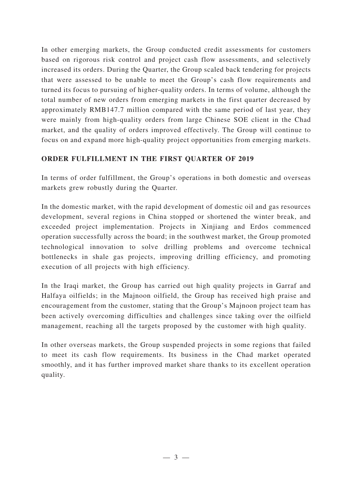In other emerging markets, the Group conducted credit assessments for customers based on rigorous risk control and project cash flow assessments, and selectively increased its orders. During the Quarter, the Group scaled back tendering for projects that were assessed to be unable to meet the Group's cash flow requirements and turned its focus to pursuing of higher-quality orders. In terms of volume, although the total number of new orders from emerging markets in the first quarter decreased by approximately RMB147.7 million compared with the same period of last year, they were mainly from high-quality orders from large Chinese SOE client in the Chad market, and the quality of orders improved effectively. The Group will continue to focus on and expand more high-quality project opportunities from emerging markets.

## **ORDER FULFILLMENT IN THE FIRST QUARTER OF 2019**

In terms of order fulfillment, the Group's operations in both domestic and overseas markets grew robustly during the Quarter.

In the domestic market, with the rapid development of domestic oil and gas resources development, several regions in China stopped or shortened the winter break, and exceeded project implementation. Projects in Xinjiang and Erdos commenced operation successfully across the board; in the southwest market, the Group promoted technological innovation to solve drilling problems and overcome technical bottlenecks in shale gas projects, improving drilling efficiency, and promoting execution of all projects with high efficiency.

In the Iraqi market, the Group has carried out high quality projects in Garraf and Halfaya oilfields; in the Majnoon oilfield, the Group has received high praise and encouragement from the customer, stating that the Group's Majnoon project team has been actively overcoming difficulties and challenges since taking over the oilfield management, reaching all the targets proposed by the customer with high quality.

In other overseas markets, the Group suspended projects in some regions that failed to meet its cash flow requirements. Its business in the Chad market operated smoothly, and it has further improved market share thanks to its excellent operation quality.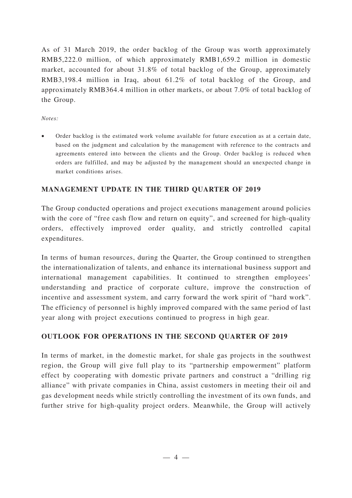As of 31 March 2019, the order backlog of the Group was worth approximately RMB5,222.0 million, of which approximately RMB1,659.2 million in domestic market, accounted for about 31.8% of total backlog of the Group, approximately RMB3,198.4 million in Iraq, about 61.2% of total backlog of the Group, and approximately RMB364.4 million in other markets, or about 7.0% of total backlog of the Group.

#### *Notes:*

• Order backlog is the estimated work volume available for future execution as at a certain date, based on the judgment and calculation by the management with reference to the contracts and agreements entered into between the clients and the Group. Order backlog is reduced when orders are fulfilled, and may be adjusted by the management should an unexpected change in market conditions arises.

### **MANAGEMENT UPDATE IN THE THIRD QUARTER OF 2019**

The Group conducted operations and project executions management around policies with the core of "free cash flow and return on equity", and screened for high-quality orders, effectively improved order quality, and strictly controlled capital expenditures.

In terms of human resources, during the Quarter, the Group continued to strengthen the internationalization of talents, and enhance its international business support and international management capabilities. It continued to strengthen employees' understanding and practice of corporate culture, improve the construction of incentive and assessment system, and carry forward the work spirit of "hard work". The efficiency of personnel is highly improved compared with the same period of last year along with project executions continued to progress in high gear.

### **OUTLOOK FOR OPERATIONS IN THE SECOND QUARTER OF 2019**

In terms of market, in the domestic market, for shale gas projects in the southwest region, the Group will give full play to its "partnership empowerment" platform effect by cooperating with domestic private partners and construct a "drilling rig alliance" with private companies in China, assist customers in meeting their oil and gas development needs while strictly controlling the investment of its own funds, and further strive for high-quality project orders. Meanwhile, the Group will actively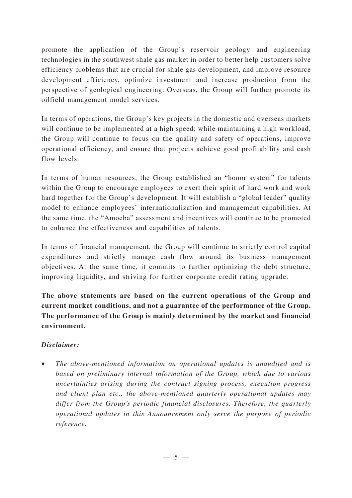promote the application of the Group's reservoir geology and engineering technologies in the southwest shale gas market in order to better help customers solve efficiency problems that are crucial for shale gas development, and improve resource development efficiency, optimize investment and increase production from the perspective of geological engineering. Overseas, the Group will further promote its oilfield management model services.

In terms of operations, the Group's key projects in the domestic and overseas markets will continue to be implemented at a high speed; while maintaining a high workload, the Group will continue to focus on the quality and safety of operations, improve operational efficiency, and ensure that projects achieve good profitability and cash flow levels.

In terms of human resources, the Group established an "honor system" for talents within the Group to encourage employees to exert their spirit of hard work and work hard together for the Group's development. It will establish a "global leader" quality model to enhance employees' internationalization and management capabilities. At the same time, the "Amoeba" assessment and incentives will continue to be promoted to enhance the effectiveness and capabilities of talents.

In terms of financial management, the Group will continue to strictly control capital expenditures and strictly manage cash flow around its business management objectives. At the same time, it commits to further optimizing the debt structure, improving liquidity, and striving for further corporate credit rating upgrade.

**The above statements are based on the current operations of the Group and current market conditions, and not a guarantee of the performance of the Group. The performance of the Group is mainly determined by the market and financial environment.**

# *Disclaimer:*

• *The above-mentioned information on operational updates is unaudited and is based on preliminary internal information of the Group, which due to various uncertainties arising during the contract signing process, execution progress and client plan etc., the above-mentioned quarterly operational updates may differ from the Group's periodic financial disclosures. Therefore, the quarterly operational updates in this Announcement only serve the purpose of periodic reference.*